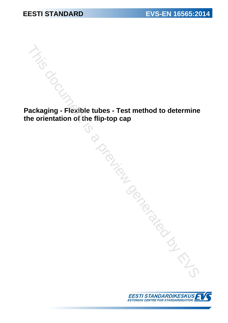**Packaging - Flexible tubes - Test method to determine the orientation of the flip-top cap** The discrete of the flip-top cap<br>
ackaging - Flexible tubes - Test method to determine<br>
and the discrete of the flip-top cap<br>
and the discrete of the flip-top cap<br>
and the discrete of the flip-top cap<br>
and the discrete of

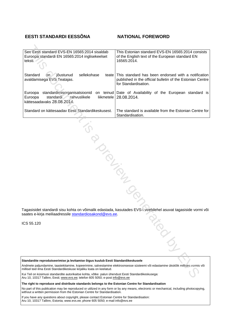## **EESTI STANDARDI EESSÕNA NATIONAL FOREWORD**

| See Eesti standard EVS-EN 16565:2014 sisaldab<br>Euroopa standardi EN 16565:2014 inglisekeelset<br>teksti.                                                                                                                                                      | This Estonian standard EVS-EN 16565:2014 consists<br>of the English text of the European standard EN<br>16565:2014.                      |
|-----------------------------------------------------------------------------------------------------------------------------------------------------------------------------------------------------------------------------------------------------------------|------------------------------------------------------------------------------------------------------------------------------------------|
| Standard<br>jõustunud<br>sellekohase<br><b>on</b><br>teate<br>avaldamisega EVS Teatajas.                                                                                                                                                                        | This standard has been endorsed with a notification<br>published in the official bulletin of the Estonian Centre<br>for Standardisation. |
| standardimisorganisatsioonid<br>Euroopa<br>Euroopa<br>standardi<br>rahvuslikele<br>kättesaadavaks 28.08.2014.                                                                                                                                                   | on teinud Date of Availability of the European standard is<br>liikmetele   28.08.2014.                                                   |
| Standard on kättesaadav Eesti Standardikeskusest.                                                                                                                                                                                                               | The standard is available from the Estonian Centre for<br>Standardisation.                                                               |
|                                                                                                                                                                                                                                                                 |                                                                                                                                          |
| PIONTES                                                                                                                                                                                                                                                         |                                                                                                                                          |
| saates e-kirja meiliaadressile standardiosakond@evs.ee.<br>CS 55.120                                                                                                                                                                                            | Tagasisidet standardi sisu kohta on võimalik edastada, kasutades EVS-i veebilehel asuvat tagasiside vormi või                            |
|                                                                                                                                                                                                                                                                 | DEDCO                                                                                                                                    |
| Standardite reprodutseerimise ja levitamise õigus kuulub Eesti Standardikeskusele<br>Andmete paljundamine, taastekitamine, kopeerimine, salvestamine elektroonsesse süsteemi või edastamine ükskõik millises vormis või                                         |                                                                                                                                          |
| millisel teel ilma Eesti Standardikeskuse kirjaliku loata on keelatud.<br>Kui Teil on küsimusi standardite autorikaitse kohta, võtke palun ühendust Eesti Standardikeskusega:<br>Aru 10, 10317 Tallinn, Eesti: www.eys.ee: telefon 605 5050; e-post info@eys.ee |                                                                                                                                          |

ICS 55.120

Aru 10, 10317 Tallinn, Eesti; www.evs.ee; telefon 605 5050; e-post info@evs.ee

**The right to reproduce and distribute standards belongs to the Estonian Centre for Standardisation**

No part of this publication may be reproduced or utilized in any form or by any means, electronic or mechanical, including photocopying, without a written permission from the Estonian Centre for Standardisation.

If you have any questions about copyright, please contact Estonian Centre for Standardisation: Aru 10, 10317 Tallinn, Estonia; [www.evs.ee](http://www.evs.ee); phone 605 5050; e-mail info@evs.ee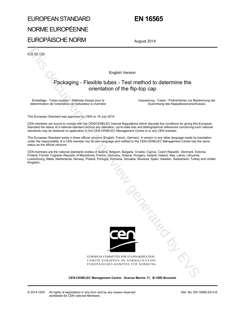# EUROPEAN STANDARD NORME EUROPÉENNE EUROPÄISCHE NORM

## **EN 16565**

August 2014

ICS 55.120

English Version

## Packaging - Flexible tubes - Test method to determine the orientation of the flip-top cap

Emballage - Tubes souples - Méthode d'essai pour la détermination de l'orientation de l'obturateur à charnière  Verpackung - Tuben - Prüfverfahren zur Bestimmung der Ausrichtung des Klappdeckelverschlusses

This European Standard was approved by CEN on 18 July 2014.

CEN members are bound to comply with the CEN/CENELEC Internal Regulations which stipulate the conditions for giving this European Standard the status of a national standard without any alteration. Up-to-date lists and bibliographical references concerning such national standards may be obtained on application to the CEN-CENELEC Management Centre or to any CEN member.

This European Standard exists in three official versions (English, French, German). A version in any other language made by translation under the responsibility of a CEN member into its own language and notified to the CEN-CENELEC Management Centre has the same status as the official versions.

CEN members are the national standards bodies of Austria, Belgium, Bulgaria, Croatia, Cyprus, Czech Republic, Denmark, Estonia, Finland, Former Yugoslav Republic of Macedonia, France, Germany, Greece, Hungary, Iceland, Ireland, Italy, Latvia, Lithuania, Luxembourg, Malta, Netherlands, Norway, Poland, Portugal, Romania, Slovakia, Slovenia, Spain, Sweden, Switzerland, Turkey and United Kingdom.



EUROPEAN COMMITTEE FOR STANDARDIZATION COMITÉ EUROPÉEN DE NORMALISATION EUROPÄISCHES KOMITEE FÜR NORMUNG

**CEN-CENELEC Management Centre: Avenue Marnix 17, B-1000 Brussels**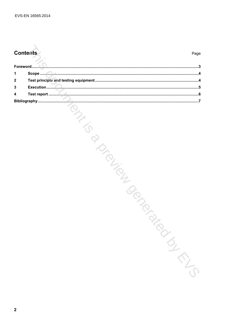## **Contents**

| 1           |                                   |
|-------------|-----------------------------------|
| $\mathbf 2$ |                                   |
| 3           |                                   |
| 4           |                                   |
|             | <b>PIRITIRISM</b><br><b>SILIS</b> |
| $\mathbf 2$ |                                   |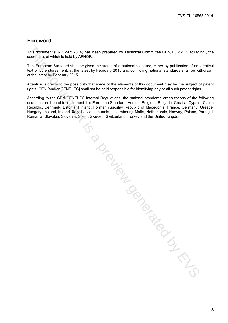## **Foreword**

This document (EN 16565:2014) has been prepared by Technical Committee CEN/TC 261 "Packaging", the secretariat of which is held by AFNOR.

This European Standard shall be given the status of a national standard, either by publication of an identical text or by endorsement, at the latest by February 2015 and conflicting national standards shall be withdrawn at the latest by February 2015.

Attention is drawn to the possibility that some of the elements of this document may be the subject of patent rights. CEN [and/or CENELEC] shall not be held responsible for identifying any or all such patent rights.

According to the CEN-CENELEC Internal Regulations, the national standards organizations of the following countries are bound to implement this European Standard: Austria, Belgium, Bulgaria, Croatia, Cyprus, Czech Republic, Denmark, Estonia, Finland, Former Yugoslav Republic of Macedonia, France, Germany, Greece, Hungary, Iceland, Ireland, Italy, Latvia, Lithuania, Luxembourg, Malta, Netherlands, Norway, Poland, Portugal, Romania, Slovakia, Slovenia, Spain, Sweden, Switzerland, Turkey and the United Kingdom.

This do chief a previously the CIS